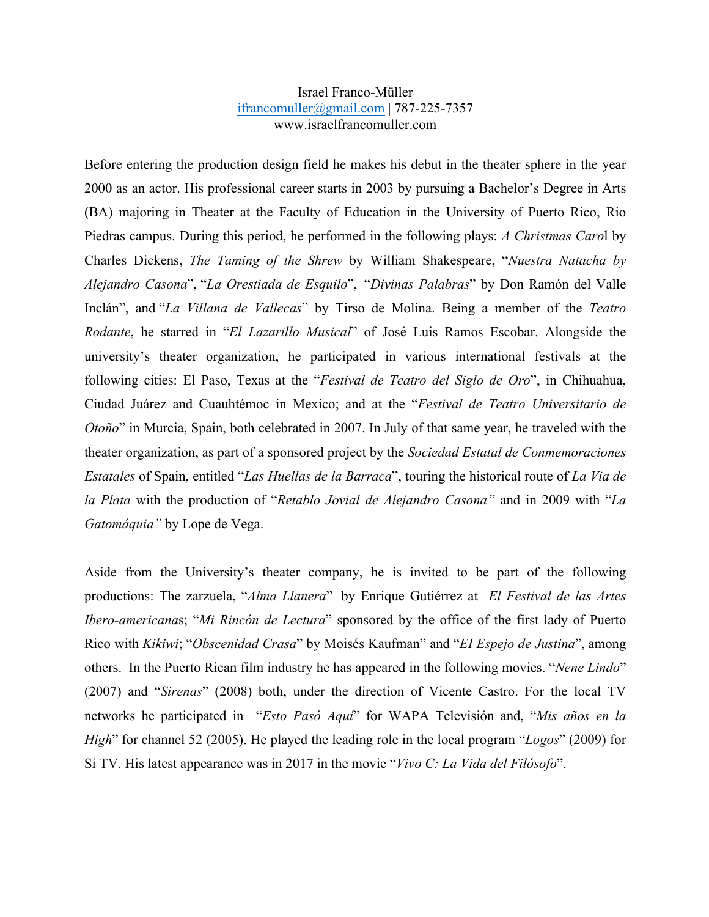## Israel Franco-Müller ifrancomuller@gmail.com | 787-225-7357 www.israelfrancomuller.com

Before entering the production design field he makes his debut in the theater sphere in the year 2000 as an actor. His professional career starts in 2003 by pursuing a Bachelor's Degree in Arts (BA) majoring in Theater at the Faculty of Education in the University of Puerto Rico, Rio Piedras campus. During this period, he performed in the following plays: *A Christmas Caro*l by Charles Dickens, *The Taming of the Shrew* by William Shakespeare, "*Nuestra Natacha by Alejandro Casona*", "*La Orestiada de Esquilo*", "*Divinas Palabras*" by Don Ramón del Valle Inclán", and "*La Villana de Vallecas*" by Tirso de Molina. Being a member of the *Teatro Rodante*, he starred in "*El Lazarillo Musical*" of José Luis Ramos Escobar. Alongside the university's theater organization, he participated in various international festivals at the following cities: El Paso, Texas at the "*Festival de Teatro del Siglo de Oro*", in Chihuahua, Ciudad Juárez and Cuauhtémoc in Mexico; and at the "*Festival de Teatro Universitario de Otoño*" in Murcia, Spain, both celebrated in 2007. In July of that same year, he traveled with the theater organization, as part of a sponsored project by the *Sociedad Estatal de Conmemoraciones Estatales* of Spain, entitled "*Las Huellas de la Barraca*", touring the historical route of *La Via de la Plata* with the production of "*Retablo Jovial de Alejandro Casona"* and in 2009 with "*La Gatomáquia"* by Lope de Vega.

Aside from the University's theater company, he is invited to be part of the following productions: The zarzuela, "*Alma Llanera*" by Enrique Gutiérrez at *El Festival de las Artes Ibero-americana*s; "*Mi Rincón de Lectura*" sponsored by the office of the first lady of Puerto Rico with *Kikiwi*; "*Obscenidad Crasa*" by Moisés Kaufman" and "*EI Espejo de Justina*", among others. In the Puerto Rican film industry he has appeared in the following movies. "*Nene Lindo*" (2007) and "*Sirenas*" (2008) both, under the direction of Vicente Castro. For the local TV networks he participated in "*Esto Pasó Aquí*" for WAPA Televisión and, "*Mis años en la High*" for channel 52 (2005). He played the leading role in the local program "*Logos*" (2009) for Sí TV. His latest appearance was in 2017 in the movie "*Vivo C: La Vida del Filósofo*".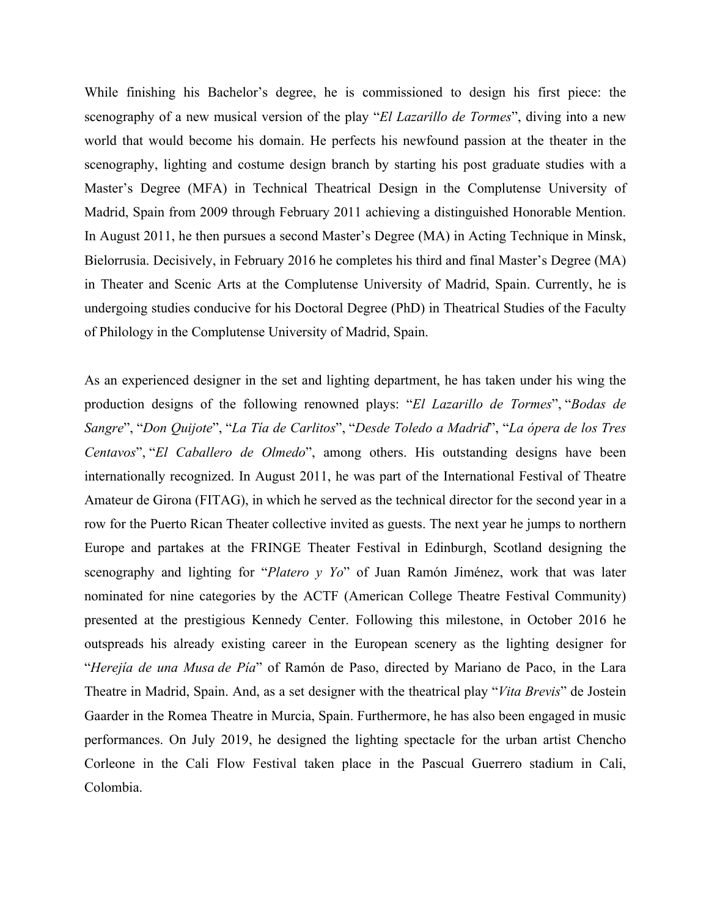While finishing his Bachelor's degree, he is commissioned to design his first piece: the scenography of a new musical version of the play "*El Lazarillo de Tormes*", diving into a new world that would become his domain. He perfects his newfound passion at the theater in the scenography, lighting and costume design branch by starting his post graduate studies with a Master's Degree (MFA) in Technical Theatrical Design in the Complutense University of Madrid, Spain from 2009 through February 2011 achieving a distinguished Honorable Mention. In August 2011, he then pursues a second Master's Degree (MA) in Acting Technique in Minsk, Bielorrusia. Decisively, in February 2016 he completes his third and final Master's Degree (MA) in Theater and Scenic Arts at the Complutense University of Madrid, Spain. Currently, he is undergoing studies conducive for his Doctoral Degree (PhD) in Theatrical Studies of the Faculty of Philology in the Complutense University of Madrid, Spain.

As an experienced designer in the set and lighting department, he has taken under his wing the production designs of the following renowned plays: "*El Lazarillo de Tormes*", "*Bodas de Sangre*", "*Don Quijote*", "*La Tía de Carlitos*", "*Desde Toledo a Madrid*", "*La ópera de los Tres Centavos*", "*El Caballero de Olmedo*", among others. His outstanding designs have been internationally recognized. In August 2011, he was part of the International Festival of Theatre Amateur de Girona (FITAG), in which he served as the technical director for the second year in a row for the Puerto Rican Theater collective invited as guests. The next year he jumps to northern Europe and partakes at the FRINGE Theater Festival in Edinburgh, Scotland designing the scenography and lighting for "*Platero y Yo*" of Juan Ramón Jiménez, work that was later nominated for nine categories by the ACTF (American College Theatre Festival Community) presented at the prestigious Kennedy Center. Following this milestone, in October 2016 he outspreads his already existing career in the European scenery as the lighting designer for "*Herejía de una Musa de Pía*" of Ramón de Paso, directed by Mariano de Paco, in the Lara Theatre in Madrid, Spain. And, as a set designer with the theatrical play "*Vita Brevis*" de Jostein Gaarder in the Romea Theatre in Murcia, Spain. Furthermore, he has also been engaged in music performances. On July 2019, he designed the lighting spectacle for the urban artist Chencho Corleone in the Cali Flow Festival taken place in the Pascual Guerrero stadium in Cali, Colombia.